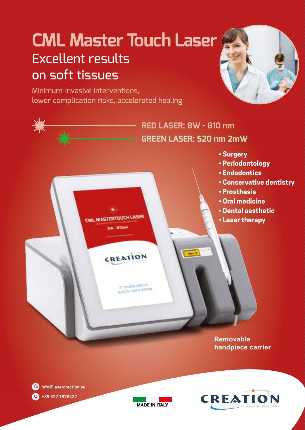# **CML Master Touch Laser** Excellent results on soft tissues

Minimum-invasive interventions, lower complication risks, accelerated healing



**Removable handpiece carrier**



**info@lasercreation.eu +39 327 1878437**